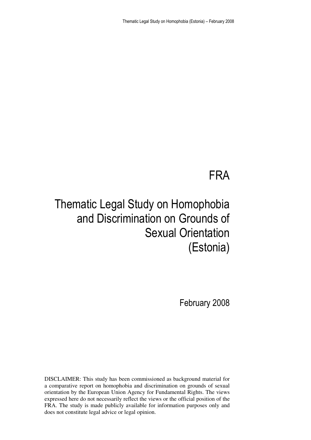### FRA

## Thematic Legal Study on Homophobia and Discrimination on Grounds of Sexual Orientation (Estonia)

February 2008

DISCLAIMER: This study has been commissioned as background material for a comparative report on homophobia and discrimination on grounds of sexual orientation by the European Union Agency for Fundamental Rights. The views expressed here do not necessarily reflect the views or the official position of the FRA. The study is made publicly available for information purposes only and does not constitute legal advice or legal opinion.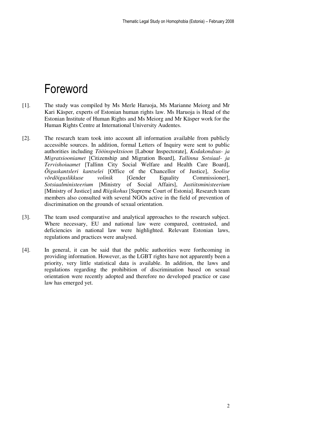## Foreword

- [1]. The study was compiled by Ms Merle Haruoja, Ms Marianne Meiorg and Mr Kari Käsper, experts of Estonian human rights law. Ms Haruoja is Head of the Estonian Institute of Human Rights and Ms Meiorg and Mr Käsper work for the Human Rights Centre at International University Audentes.
- [2]. The research team took into account all information available from publicly accessible sources. In addition, formal Letters of Inquiry were sent to public authorities including *Tööinspektsioon* [Labour Inspectorate], *Kodakondsus- ja Migratsiooniamet* [Citizenship and Migration Board], *Tallinna Sotsiaal- ja Tervishoiuamet* [Tallinn City Social Welfare and Health Care Board], *Õiguskantsleri kantselei* [Office of the Chancellor of Justice], *Soolise võrdõiguslikkuse volinik* [Gender Equality Commissioner], *Sotsiaalministeerium* [Ministry of Social Affairs], *Justiitsministeerium* [Ministry of Justice] and *Riigikohus* [Supreme Court of Estonia]. Research team members also consulted with several NGOs active in the field of prevention of discrimination on the grounds of sexual orientation.
- [3]. The team used comparative and analytical approaches to the research subject. Where necessary, EU and national law were compared, contrasted, and deficiencies in national law were highlighted. Relevant Estonian laws, regulations and practices were analysed.
- [4]. In general, it can be said that the public authorities were forthcoming in providing information. However, as the LGBT rights have not apparently been a priority, very little statistical data is available. In addition, the laws and regulations regarding the prohibition of discrimination based on sexual orientation were recently adopted and therefore no developed practice or case law has emerged yet.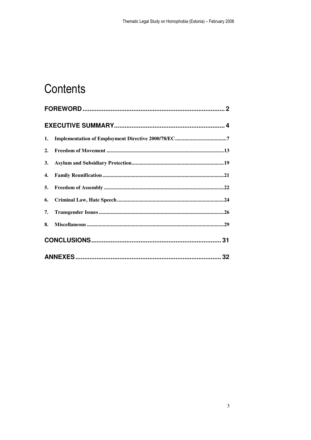# Contents

| 2. |  |
|----|--|
|    |  |
|    |  |
|    |  |
|    |  |
|    |  |
| 8. |  |
|    |  |
|    |  |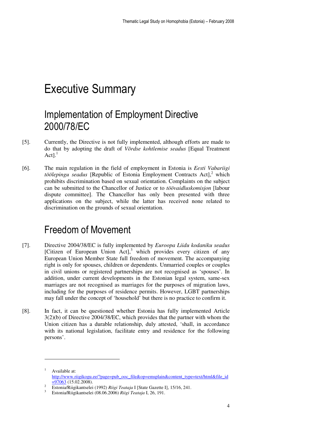## Executive Summary

### Implementation of Employment Directive 2000/78/EC

- [5]. Currently, the Directive is not fully implemented, although efforts are made to do that by adopting the draft of *Võrdse kohtlemise seadus* [Equal Treatment Act $l^1$
- [6]. The main regulation in the field of employment in Estonia is *Eesti Vabariigi*  töölepingu seadus [Republic of Estonia Employment Contracts Act],<sup>2</sup> which prohibits discrimination based on sexual orientation. Complaints on the subject can be submitted to the Chancellor of Justice or to *töövaidluskomisjon* [labour dispute committee]. The Chancellor has only been presented with three applications on the subject, while the latter has received none related to discrimination on the grounds of sexual orientation.

#### Freedom of Movement

- [7]. Directive 2004/38/EC is fully implemented by *Euroopa Liidu kodaniku seadus* [Citizen of European Union Act], $3$  which provides every citizen of any European Union Member State full freedom of movement. The accompanying right is only for spouses, children or dependents. Unmarried couples or couples in civil unions or registered partnerships are not recognised as 'spouses'. In addition, under current developments in the Estonian legal system, same-sex marriages are not recognised as marriages for the purposes of migration laws, including for the purposes of residence permits. However, LGBT partnerships may fall under the concept of 'household' but there is no practice to confirm it.
- [8]. In fact, it can be questioned whether Estonia has fully implemented Article 3(2)(b) of Directive 2004/38/EC, which provides that the partner with whom the Union citizen has a durable relationship, duly attested, 'shall, in accordance with its national legislation, facilitate entry and residence for the following persons'.

<sup>1</sup> Available at: http://www.riigikogu.ee/?page=pub\_ooc\_file&op=emsplain&content\_type=text/html&file\_id  $=97063(15.02.2008).$ 

<sup>2</sup> Estonia/Riigikantselei (1992) *Riigi Teataja* I [State Gazette I], 15/16, 241.

<sup>3</sup> Estonia/Riigikantselei (08.06.2006) *Riigi Teataja* I, 26, 191.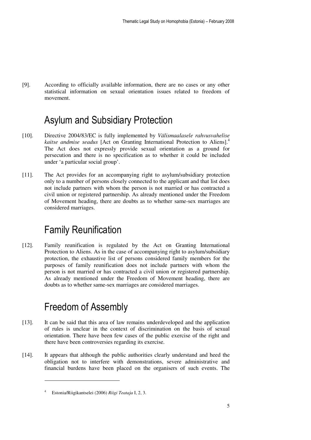[9]. According to officially available information, there are no cases or any other statistical information on sexual orientation issues related to freedom of movement.

### Asylum and Subsidiary Protection

- [10]. Directive 2004/83/EC is fully implemented by *Välismaalasele rahvusvahelise kaitse andmise seadus* [Act on Granting International Protection to Aliens].<sup>4</sup> The Act does not expressly provide sexual orientation as a ground for persecution and there is no specification as to whether it could be included under 'a particular social group'.
- [11]. The Act provides for an accompanying right to asylum/subsidiary protection only to a number of persons closely connected to the applicant and that list does not include partners with whom the person is not married or has contracted a civil union or registered partnership. As already mentioned under the Freedom of Movement heading, there are doubts as to whether same-sex marriages are considered marriages.

### Family Reunification

[12]. Family reunification is regulated by the Act on Granting International Protection to Aliens. As in the case of accompanying right to asylum/subsidiary protection, the exhaustive list of persons considered family members for the purposes of family reunification does not include partners with whom the person is not married or has contracted a civil union or registered partnership. As already mentioned under the Freedom of Movement heading, there are doubts as to whether same-sex marriages are considered marriages.

### Freedom of Assembly

- [13]. It can be said that this area of law remains underdeveloped and the application of rules is unclear in the context of discrimination on the basis of sexual orientation. There have been few cases of the public exercise of the right and there have been controversies regarding its exercise.
- [14]. It appears that although the public authorities clearly understand and heed the obligation not to interfere with demonstrations, severe administrative and financial burdens have been placed on the organisers of such events. The

 $\ddot{\phantom{a}}$ 

<sup>4</sup> Estonia/Riigikantselei (2006) *Riigi Teataja* I, 2, 3.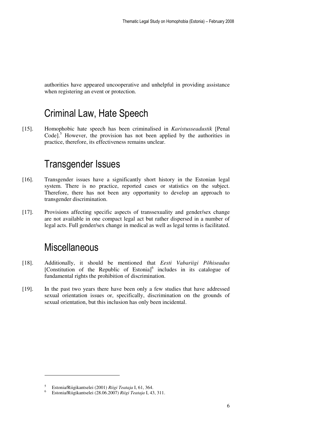authorities have appeared uncooperative and unhelpful in providing assistance when registering an event or protection.

### Criminal Law, Hate Speech

[15]. Homophobic hate speech has been criminalised in *Karistusseadustik* [Penal Code].<sup>5</sup> However, the provision has not been applied by the authorities in practice, therefore, its effectiveness remains unclear.

#### Transgender Issues

- [16]. Transgender issues have a significantly short history in the Estonian legal system. There is no practice, reported cases or statistics on the subject. Therefore, there has not been any opportunity to develop an approach to transgender discrimination.
- [17]. Provisions affecting specific aspects of transsexuality and gender/sex change are not available in one compact legal act but rather dispersed in a number of legal acts. Full gender/sex change in medical as well as legal terms is facilitated.

#### **Miscellaneous**

- [18]. Additionally, it should be mentioned that *Eesti Vabariigi Põhiseadus* [Constitution of the Republic of Estonia]<sup>6</sup> includes in its catalogue of fundamental rights the prohibition of discrimination.
- [19]. In the past two years there have been only a few studies that have addressed sexual orientation issues or, specifically, discrimination on the grounds of sexual orientation, but this inclusion has only been incidental.

<sup>5</sup> Estonia/Riigikantselei (2001) *Riigi Teataja* I, 61, 364.

<sup>6</sup> Estonia/Riigikantselei (28.06.2007) *Riigi Teataja* I, 43, 311.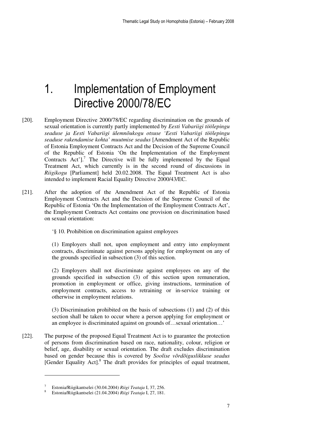## 1. Implementation of Employment Directive 2000/78/EC

- [20]. Employment Directive 2000/78/EC regarding discrimination on the grounds of sexual orientation is currently partly implemented by *Eesti Vabariigi töölepingu seaduse ja Eesti Vabariigi ülemnõukogu otsuse 'Eesti Vabariigi töölepingu seaduse rakendamise kohta' muutmise seadus* [Amendment Act of the Republic of Estonia Employment Contracts Act and the Decision of the Supreme Council of the Republic of Estonia 'On the Implementation of the Employment Contracts  $Act$ <sup> $]$ </sup>. The Directive will be fully implemented by the Equal Treatment Act, which currently is in the second round of discussions in *Riigikogu* [Parliament] held 20.02.2008. The Equal Treatment Act is also intended to implement Racial Equality Directive 2000/43/EC.
- [21]. After the adoption of the Amendment Act of the Republic of Estonia Employment Contracts Act and the Decision of the Supreme Council of the Republic of Estonia 'On the Implementation of the Employment Contracts Act', the Employment Contracts Act contains one provision on discrimination based on sexual orientation:
	- '§ 10. Prohibition on discrimination against employees

(1) Employers shall not, upon employment and entry into employment contracts, discriminate against persons applying for employment on any of the grounds specified in subsection (3) of this section.

(2) Employers shall not discriminate against employees on any of the grounds specified in subsection (3) of this section upon remuneration, promotion in employment or office, giving instructions, termination of employment contracts, access to retraining or in-service training or otherwise in employment relations.

(3) Discrimination prohibited on the basis of subsections (1) and (2) of this section shall be taken to occur where a person applying for employment or an employee is discriminated against on grounds of…sexual orientation…'

[22]. The purpose of the proposed Equal Treatment Act is to guarantee the protection of persons from discrimination based on race, nationality, colour, religion or belief, age, disability or sexual orientation. The draft excludes discrimination based on gender because this is covered by *Soolise võrdõiguslikkuse seadus* [Gender Equality Act].<sup>8</sup> The draft provides for principles of equal treatment,

<sup>7</sup> Estonia/Riigikantselei (30.04.2004) *Riigi Teataja* I, 37, 256.

<sup>8</sup> Estonia/Riigikantselei (21.04.2004) *Riigi Teataja* I, 27, 181.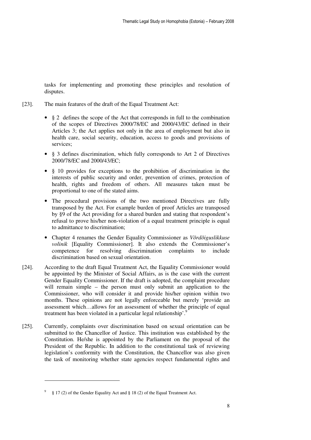tasks for implementing and promoting these principles and resolution of disputes.

- [23]. The main features of the draft of the Equal Treatment Act:
	- § 2 defines the scope of the Act that corresponds in full to the combination of the scopes of Directives 2000/78/EC and 2000/43/EC defined in their Articles 3; the Act applies not only in the area of employment but also in health care, social security, education, access to goods and provisions of services;
	- § 3 defines discrimination, which fully corresponds to Art 2 of Directives 2000/78/EC and 2000/43/EC;
	- § 10 provides for exceptions to the prohibition of discrimination in the interests of public security and order, prevention of crimes, protection of health, rights and freedom of others. All measures taken must be proportional to one of the stated aims.
	- The procedural provisions of the two mentioned Directives are fully transposed by the Act. For example burden of proof Articles are transposed by §9 of the Act providing for a shared burden and stating that respondent's refusal to prove his/her non-violation of a equal treatment principle is equal to admittance to discrimination;
	- Chapter 4 renames the Gender Equality Commissioner as *Võrdõiguslikkuse volinik* [Equality Commissioner]. It also extends the Commissioner's competence for resolving discrimination complaints to include discrimination based on sexual orientation.
- [24]. According to the draft Equal Treatment Act, the Equality Commissioner would be appointed by the Minister of Social Affairs, as is the case with the current Gender Equality Commissioner. If the draft is adopted, the complaint procedure will remain simple – the person must only submit an application to the Commissioner, who will consider it and provide his/her opinion within two months. These opinions are not legally enforceable but merely 'provide an assessment which…allows for an assessment of whether the principle of equal treatment has been violated in a particular legal relationship'.<sup>9</sup>
- [25]. Currently, complaints over discrimination based on sexual orientation can be submitted to the Chancellor of Justice. This institution was established by the Constitution. He/she is appointed by the Parliament on the proposal of the President of the Republic. In addition to the constitutional task of reviewing legislation's conformity with the Constitution, the Chancellor was also given the task of monitoring whether state agencies respect fundamental rights and

 $\ddot{\phantom{a}}$ 

<sup>9</sup> § 17 (2) of the Gender Equality Act and § 18 (2) of the Equal Treatment Act.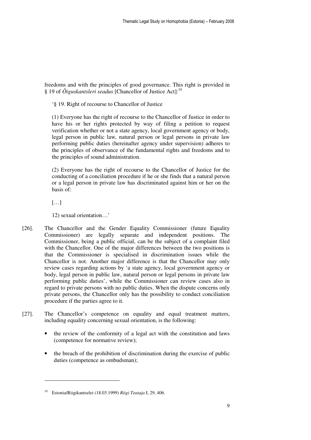freedoms and with the principles of good governance. This right is provided in § 19 of *Õiguskantsleri seadus* [Chancellor of Justice Act]:<sup>10</sup>

'§ 19. Right of recourse to Chancellor of Justice

(1) Everyone has the right of recourse to the Chancellor of Justice in order to have his or her rights protected by way of filing a petition to request verification whether or not a state agency, local government agency or body, legal person in public law, natural person or legal persons in private law performing public duties (hereinafter agency under supervision) adheres to the principles of observance of the fundamental rights and freedoms and to the principles of sound administration.

(2) Everyone has the right of recourse to the Chancellor of Justice for the conducting of a conciliation procedure if he or she finds that a natural person or a legal person in private law has discriminated against him or her on the basis of:

[…]

 $\ddot{\phantom{a}}$ 

12) sexual orientation…'

- [26]. The Chancellor and the Gender Equality Commissioner (future Equality Commissioner) are legally separate and independent positions. The Commissioner, being a public official, can be the subject of a complaint filed with the Chancellor. One of the major differences between the two positions is that the Commissioner is specialised in discrimination issues while the Chancellor is not. Another major difference is that the Chancellor may only review cases regarding actions by 'a state agency, local government agency or body, legal person in public law, natural person or legal persons in private law performing public duties', while the Commissioner can review cases also in regard to private persons with no public duties. When the dispute concerns only private persons, the Chancellor only has the possibility to conduct conciliation procedure if the parties agree to it.
- [27]. The Chancellor's competence on equality and equal treatment matters, including equality concerning sexual orientation, is the following:
	- the review of the conformity of a legal act with the constitution and laws (competence for normative review);
	- the breach of the prohibition of discrimination during the exercise of public duties (competence as ombudsman);

<sup>10</sup> Estonia/Riigikantselei (18.03.1999) *Riigi Teataja* I, 29, 406.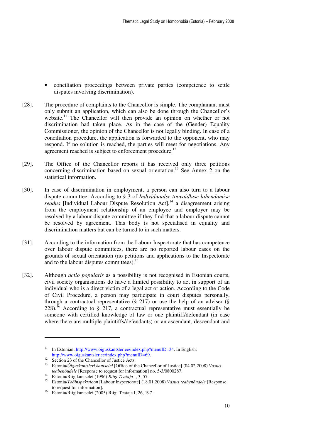- conciliation proceedings between private parties (competence to settle disputes involving discrimination).
- [28]. The procedure of complaints to the Chancellor is simple. The complainant must only submit an application, which can also be done through the Chancellor's website.<sup>11</sup> The Chancellor will then provide an opinion on whether or not discrimination had taken place. As in the case of the (Gender) Equality Commissioner, the opinion of the Chancellor is not legally binding. In case of a conciliation procedure, the application is forwarded to the opponent, who may respond. If no solution is reached, the parties will meet for negotiations. Any agreement reached is subject to enforcement procedure.<sup>12</sup>
- [29]. The Office of the Chancellor reports it has received only three petitions concerning discrimination based on sexual orientation.<sup>13</sup> See Annex  $\frac{1}{2}$  on the statistical information.
- [30]. In case of discrimination in employment, a person can also turn to a labour dispute committee. According to § 3 of *Individuaalse töövaidluse lahendamise seadus* [Individual Labour Dispute Resolution Act],<sup>14</sup> a disagreement arising from the employment relationship of an employee and employer may be resolved by a labour dispute committee if they find that a labour dispute cannot be resolved by agreement. This body is not specialised in equality and discrimination matters but can be turned to in such matters.
- [31]. According to the information from the Labour Inspectorate that has competence over labour dispute committees, there are no reported labour cases on the grounds of sexual orientation (no petitions and applications to the Inspectorate and to the labour disputes committees).<sup>15</sup>
- [32]. Although *actio popularis* as a possibility is not recognised in Estonian courts, civil society organisations do have a limited possibility to act in support of an individual who is a direct victim of a legal act or action. According to the Code of Civil Procedure, a person may participate in court disputes personally, through a contractual representative  $(§ 217)$  or use the help of an adviser  $(§$ 228).<sup>16</sup> According to  $\S$  217, a contractual representative must essentially be someone with certified knowledge of law or one plaintiff/defendant (in case where there are multiple plaintiffs/defendants) or an ascendant, descendant and

<sup>&</sup>lt;sup>11</sup> In Estonian:  $\frac{http://www.oiguskantsler.ee/index.php?menuID=34}{http://www.oiguskantsler.ee/index.php?menuID=34}$ . In English: http://www.oiguskantsler.ee/index.php?menuID=69.

<sup>&</sup>lt;sup>12</sup> Section 23 of the Chancellor of Justice Acts.

<sup>13</sup> Estonia/*Õiguskantsleri kantselei* [Office of the Chancellor of Justice] (04.02.2008) *Vastus teabenõudele* [Response to request for information] no. 5-3/0800287.

<sup>14</sup> Estonia/Riigikantselei (1996) *Riigi Teataja* I, 3, 57.

<sup>15</sup> Estonia/*Tööinspektsioon* [Labour Inspectorate] (18.01.2008) *Vastus teabenõudele* [Response to request for information].

<sup>16</sup> Estonia/Riigikantselei (2005) Riigi Teataja I, 26, 197.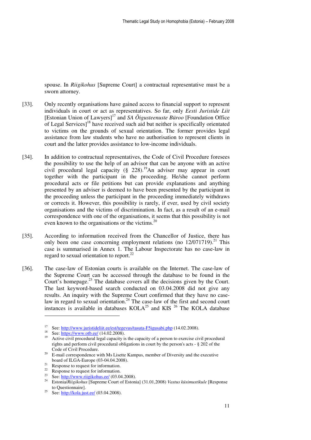spouse. In *Riigikohus* [Supreme Court] a contractual representative must be a sworn attorney.

- [33]. Only recently organisations have gained access to financial support to represent individuals in court or act as representatives. So far, only *Eesti Juristide Liit*  [Estonian Union of Lawyers]<sup>17</sup> and *SA Õigusteenuste Büroo* [Foundation Office of Legal Services]<sup>18</sup> have received such aid but neither is specifically orientated to victims on the grounds of sexual orientation. The former provides legal assistance from law students who have no authorisation to represent clients in court and the latter provides assistance to low-income individuals.
- [34]. In addition to contractual representatives, the Code of Civil Procedure foresees the possibility to use the help of an advisor that can be anyone with an active civil procedural legal capacity (§ 228).<sup>19</sup>An adviser may appear in court together with the participant in the proceeding. He/she cannot perform procedural acts or file petitions but can provide explanations and anything presented by an adviser is deemed to have been presented by the participant in the proceeding unless the participant in the proceeding immediately withdraws or corrects it. However, this possibility is rarely, if ever, used by civil society organisations and the victims of discrimination. In fact, as a result of an e-mail correspondence with one of the organisations, it seems that this possibility is not even known to the organisations or the victims.<sup>20</sup>
- [35]. According to information received from the Chancellor of Justice, there has only been one case concerning employment relations (no  $12/071719$ ).<sup>21</sup> This case is summarised in Annex 1. The Labour Inspectorate has no case-law in regard to sexual orientation to report.<sup>22</sup>
- [36]. The case-law of Estonian courts is available on the Internet. The case-law of the Supreme Court can be accessed through the database to be found in the Court's homepage.<sup>23</sup> The database covers all the decisions given by the Court. The last keyword-based search conducted on 03.04.2008 did not give any results. An inquiry with the Supreme Court confirmed that they have no caselaw in regard to sexual orientation. $^{24}$  The case-law of the first and second court instances is available in databases  $KOLA^{25}$  and KIS<sup>26</sup> The KOLA database

 $\ddot{\phantom{a}}$ 

<sup>&</sup>lt;sup>17</sup> See: http://www.juristideliit.ee/est/tegevus/tasuta-F5igusabi.php (14.02.2008).

See: https://www.otb.ee/ (14.02.2008).

<sup>19</sup> Active civil procedural legal capacity is the capacity of a person to exercise civil procedural rights and perform civil procedural obligations in court by the person's acts - § 202 of the Code of Civil Procedure.

<sup>&</sup>lt;sup>20</sup> E-mail correspondence with Ms Lisette Kampus, member of Diversity and the executive board of ILGA-Europe (03-04.04.2008).

 $21$  Response to request for information.

<sup>&</sup>lt;sup>22</sup> Response to request for information.

See: http://www.riigikohus.ee/ (03.04.2008).

<sup>24</sup> Estonia/*Riigikohus* [Supreme Court of Estonia] (31.01,2008) *Vastus küsimustikule* [Response to Questionnaire].

<sup>&</sup>lt;sup>25</sup> See: http://kola.just.ee/ (03.04.2008).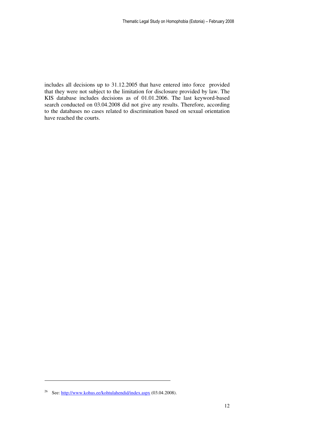includes all decisions up to 31.12.2005 that have entered into force provided that they were not subject to the limitation for disclosure provided by law. The KIS database includes decisions as of 01.01.2006. The last keyword-based search conducted on 03.04.2008 did not give any results. Therefore, according to the databases no cases related to discrimination based on sexual orientation have reached the courts.

-

<sup>&</sup>lt;sup>26</sup> See: http://www.kohus.ee/kohtulahendid/index.aspx (03.04.2008).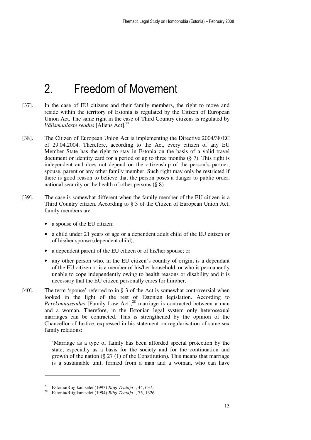## 2. Freedom of Movement

- [37]. In the case of EU citizens and their family members, the right to move and reside within the territory of Estonia is regulated by the Citizen of European Union Act. The same right in the case of Third Country citizens is regulated by *Välismaalaste seadus* [Aliens Act].<sup>27</sup>
- [38]. The Citizen of European Union Act is implementing the Directive 2004/38/EC of 29.04.2004. Therefore, according to the Act, every citizen of any EU Member State has the right to stay in Estonia on the basis of a valid travel document or identity card for a period of up to three months  $(\xi, 7)$ . This right is independent and does not depend on the citizenship of the person's partner, spouse, parent or any other family member. Such right may only be restricted if there is good reason to believe that the person poses a danger to public order, national security or the health of other persons (§ 8).
- [39]. The case is somewhat different when the family member of the EU citizen is a Third Country citizen. According to § 3 of the Citizen of European Union Act, family members are:
	- a spouse of the EU citizen;
	- a child under 21 years of age or a dependent adult child of the EU citizen or of his/her spouse (dependent child);
	- a dependent parent of the EU citizen or of his/her spouse; or
	- any other person who, in the EU citizen's country of origin, is a dependant of the EU citizen or is a member of his/her household, or who is permanently unable to cope independently owing to health reasons or disability and it is necessary that the EU citizen personally cares for him/her.
- [40]. The term 'spouse' referred to in § 3 of the Act is somewhat controversial when looked in the light of the rest of Estonian legislation. According to *Perekonnaseadus* [Family Law Act],<sup>28</sup> marriage is contracted between a man and a woman. Therefore, in the Estonian legal system only heterosexual marriages can be contracted. This is strengthened by the opinion of the Chancellor of Justice, expressed in his statement on regularisation of same-sex family relations:

'Marriage as a type of family has been afforded special protection by the state, especially as a basis for the society and for the continuation and growth of the nation  $(\S 27 (1)$  of the Constitution). This means that marriage is a sustainable unit, formed from a man and a woman, who can have

<sup>27</sup> Estonia/Riigikantselei (1993) *Riigi Teataja* I, 44, 637.

<sup>28</sup> Estonia/Riigikantselei (1994) *Riigi Teataja* I, 75, 1326.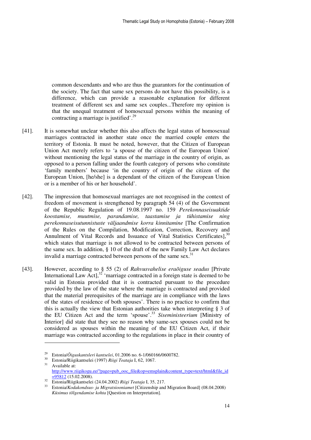common descendants and who are thus the guarantors for the continuation of the society. The fact that same sex persons do not have this possibility, is a difference, which can provide a reasonable explanation for different treatment of different sex and same sex couples...Therefore my opinion is that the unequal treatment of homosexual persons within the meaning of contracting a marriage is justified'.<sup>29</sup>

- [41]. It is somewhat unclear whether this also affects the legal status of homosexual marriages contracted in another state once the married couple enters the territory of Estonia. It must be noted, however, that the Citizen of European Union Act merely refers to 'a spouse of the citizen of the European Union' without mentioning the legal status of the marriage in the country of origin, as opposed to a person falling under the fourth category of persons who constitute 'family members' because 'in the country of origin of the citizen of the European Union, [he/she] is a dependant of the citizen of the European Union or is a member of his or her household'.
- [42]. The impression that homosexual marriages are not recognised in the context of freedom of movement is strengthened by paragraph 54 (4) of the Government of the Republic Regulation of 19.08.1997 no. 159 *Perekonnaseisuaktide koostamise, muutmise, parandamise, taastamise ja tühistamise ning perekonnaseisutunnistuste väljaandmise korra kinnitamine* [The Confirmation of the Rules on the Compilation, Modification, Correction, Recovery and Annulment of Vital Records and Issuance of Vital Statistics Certificates],  $30$ which states that marriage is not allowed to be contracted between persons of the same sex. In addition, § 10 of the draft of the new Family Law Act declares invalid a marriage contracted between persons of the same sex.<sup>31</sup>
- [43]. However, according to § 55 (2) of *Rahvusvahelise eraõiguse seadus* [Private International Law  $\text{Act}$ ,  $32^{\circ}$  'marriage contracted in a foreign state is deemed to be valid in Estonia provided that it is contracted pursuant to the procedure provided by the law of the state where the marriage is contracted and provided that the material prerequisites of the marriage are in compliance with the laws of the states of residence of both spouses'. There is no practice to confirm that this is actually the view that Estonian authorities take when interpreting § 3 of the EU Citizen Act and the term 'spouse'.<sup>33</sup> *Siseministeerium* [Ministry of Interior] did state that they see no reason why same-sex spouses could not be considered as spouses within the meaning of the EU Citizen Act, if their marriage was contracted according to the regulations in place in their country of

 $\ddot{\phantom{a}}$ 

<sup>29</sup> Estonia/*Õiguskantsleri kantselei*, 01.2006 no. 6-1/060166/0600782.

<sup>30</sup> Estonia/Riigikantselei (1997) *Riigi Teataja* I, 62, 1067. Available at: http://www.riigikogu.ee/?page=pub\_ooc\_file&op=emsplain&content\_type=text/html&file\_id  $=95812(15.02.2008).$ 

<sup>32</sup> Estonia/Riigikantselei (24.04.2002) *Riigi Teataja* I, 35, 217.

<sup>33</sup> Estonia/*Kodakondsus- ja Migratsiooniamet* [Citizenship and Migration Board] (08.04.2008) *Küsimus tõlgendamise kohta* [Question on Interpretation].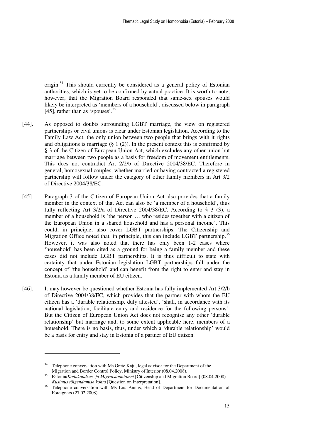origin.<sup>34</sup> This should currently be considered as a general policy of Estonian authorities, which is yet to be confirmed by actual practice. It is worth to note, however, that the Migration Board responded that same-sex spouses would likely be interpreted as 'members of a household', discussed below in paragraph [45], rather than as 'spouses'.<sup>35</sup>

- [44]. As opposed to doubts surrounding LGBT marriage, the view on registered partnerships or civil unions is clear under Estonian legislation. According to the Family Law Act, the only union between two people that brings with it rights and obligations is marriage  $(\S 1 (2))$ . In the present context this is confirmed by § 3 of the Citizen of European Union Act, which excludes any other union but marriage between two people as a basis for freedom of movement entitlements. This does not contradict Art 2/2/b of Directive 2004/38/EC. Therefore in general, homosexual couples, whether married or having contracted a registered partnership will follow under the category of other family members in Art 3/2 of Directive 2004/38/EC.
- [45]. Paragraph 3 of the Citizen of European Union Act also provides that a family member in the context of that Act can also be 'a member of a household', thus fully reflecting Art  $3/2/a$  of Directive 2004/38/EC. According to § 3 (3), a member of a household is 'the person … who resides together with a citizen of the European Union in a shared household and has a personal income'. This could, in principle, also cover LGBT partnerships. The Citizenship and Migration Office noted that, in principle, this can include LGBT partnership.<sup>36</sup> However, it was also noted that there has only been 1-2 cases where 'household' has been cited as a ground for being a family member and these cases did not include LGBT partnerships. It is thus difficult to state with certainty that under Estonian legislation LGBT partnerships fall under the concept of 'the household' and can benefit from the right to enter and stay in Estonia as a family member of EU citizen.
- [46]. It may however be questioned whether Estonia has fully implemented Art 3/2/b of Directive 2004/38/EC, which provides that the partner with whom the EU citizen has a 'durable relationship, duly attested', 'shall, in accordance with its national legislation, facilitate entry and residence for the following persons'. But the Citizen of European Union Act does not recognise any other 'durable relationship' but marriage and, to some extent applicable here, members of a household. There is no basis, thus, under which a 'durable relationship' would be a basis for entry and stay in Estonia of a partner of EU citizen.

-

<sup>&</sup>lt;sup>34</sup> Telephone conversation with Ms Grete Kaju, legal advisor for the Department of the Migration and Border Control Policy, Ministry of Interior (08.04.2008).

<sup>35</sup> Estonia/*Kodakondsus- ja Migratsiooniamet* [Citizenship and Migration Board] (08.04.2008) *Küsimus tõlgendamise kohta* [Question on Interpretation].

Telephone conversation with Ms Liis Annus, Head of Department for Documentation of Foreigners (27.02.2008).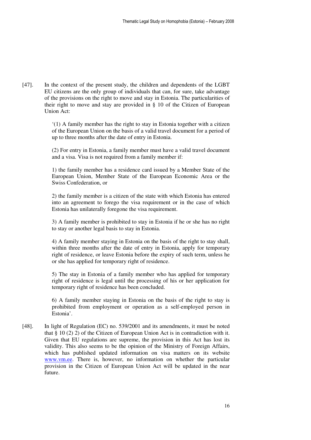[47]. In the context of the present study, the children and dependents of the LGBT EU citizens are the only group of individuals that can, for sure, take advantage of the provisions on the right to move and stay in Estonia. The particularities of their right to move and stay are provided in § 10 of the Citizen of European Union Act:

> '(1) A family member has the right to stay in Estonia together with a citizen of the European Union on the basis of a valid travel document for a period of up to three months after the date of entry in Estonia.

> (2) For entry in Estonia, a family member must have a valid travel document and a visa. Visa is not required from a family member if:

> 1) the family member has a residence card issued by a Member State of the European Union, Member State of the European Economic Area or the Swiss Confederation, or

> 2) the family member is a citizen of the state with which Estonia has entered into an agreement to forego the visa requirement or in the case of which Estonia has unilaterally foregone the visa requirement.

> 3) A family member is prohibited to stay in Estonia if he or she has no right to stay or another legal basis to stay in Estonia.

> 4) A family member staying in Estonia on the basis of the right to stay shall, within three months after the date of entry in Estonia, apply for temporary right of residence, or leave Estonia before the expiry of such term, unless he or she has applied for temporary right of residence.

> 5) The stay in Estonia of a family member who has applied for temporary right of residence is legal until the processing of his or her application for temporary right of residence has been concluded.

> 6) A family member staying in Estonia on the basis of the right to stay is prohibited from employment or operation as a self-employed person in Estonia'.

[48]. In light of Regulation (EC) no. 539/2001 and its amendments, it must be noted that  $\S 10(2)$  2) of the Citizen of European Union Act is in contradiction with it. Given that EU regulations are supreme, the provision in this Act has lost its validity. This also seems to be the opinion of the Ministry of Foreign Affairs, which has published updated information on visa matters on its website www.vm.ee. There is, however, no information on whether the particular provision in the Citizen of European Union Act will be updated in the near future.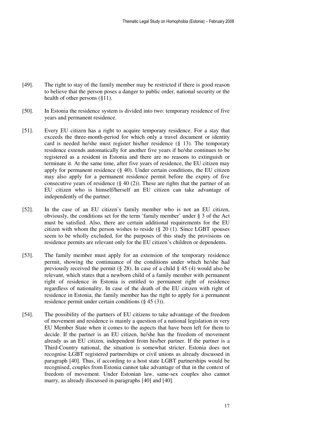- [49]. The right to stay of the family member may be restricted if there is good reason to believe that the person poses a danger to public order, national security or the health of other persons (§11).
- [50]. In Estonia the residence system is divided into two: temporary residence of five years and permanent residence.
- [51]. Every EU citizen has a right to acquire temporary residence. For a stay that exceeds the three-month-period for which only a travel document or identity card is needed he/she must register his/her residence (§ 13). The temporary residence extends automatically for another five years if he/she continues to be registered as a resident in Estonia and there are no reasons to extinguish or terminate it. At the same time, after five years of residence, the EU citizen may apply for permanent residence (§ 40). Under certain conditions, the EU citizen may also apply for a permanent residence permit before the expiry of five consecutive years of residence  $(\S 40 (2))$ . These are rights that the partner of an EU citizen who is himself/herself an EU citizen can take advantage of independently of the partner.
- [52]. In the case of an EU citizen's family member who is not an EU citizen, obviously, the conditions set for the term 'family member' under § 3 of the Act must be satisfied. Also, there are certain additional requirements for the EU citizen with whom the person wishes to reside (§ 20 (1). Since LGBT spouses seem to be wholly excluded, for the purposes of this study the provisions on residence permits are relevant only for the EU citizen's children or dependents.
- [53]. The family member must apply for an extension of the temporary residence permit, showing the continuance of the conditions under which he/she had previously received the permit (§ 28). In case of a child § 45 (4) would also be relevant, which states that a newborn child of a family member with permanent right of residence in Estonia is entitled to permanent right of residence regardless of nationality. In case of the death of the EU citizen with right of residence in Estonia, the family member has the right to apply for a permanent residence permit under certain conditions (§ 45 (3)).
- [54]. The possibility of the partners of EU citizens to take advantage of the freedom of movement and residence is mainly a question of a national legislation in very EU Member State when it comes to the aspects that have been left for them to decide. If the partner is an EU citizen, he/she has the freedom of movement already as an EU citizen, independent from his/her partner. If the partner is a Third-Country national, the situation is somewhat stricter. Estonia does not recognise LGBT registered partnerships or civil unions as already discussed in paragraph [40]. Thus, if according to a host state LGBT partnerships would be recognised, couples from Estonia cannot take advantage of that in the context of freedom of movement. Under Estonian law, same-sex couples also cannot marry, as already discussed in paragraphs [40] and [40].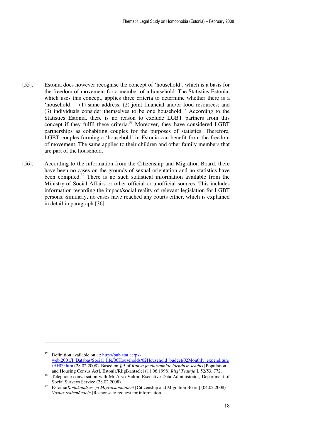- [55]. Estonia does however recognise the concept of 'household', which is a basis for the freedom of movement for a member of a household. The Statistics Estonia, which uses this concept, applies three criteria to determine whether there is a 'household' – (1) same address; (2) joint financial and/or food resources; and (3) individuals consider themselves to be one household.<sup>37</sup> According to the Statistics Estonia, there is no reason to exclude LGBT partners from this concept if they fulfil these criteria.<sup>38</sup> Moreover, they have considered LGBT partnerships as cohabiting couples for the purposes of statistics. Therefore, LGBT couples forming a 'household' in Estonia can benefit from the freedom of movement. The same applies to their children and other family members that are part of the household.
- [56]. According to the information from the Citizenship and Migration Board, there have been no cases on the grounds of sexual orientation and no statistics have been compiled.<sup>39</sup> There is no such statistical information available from the Ministry of Social Affairs or other official or unofficial sources. This includes information regarding the impact/social reality of relevant legislation for LGBT persons. Similarly, no cases have reached any courts either, which is explained in detail in paragraph [36].

 $\ddot{\phantom{a}}$ 

 $37$  Definition available on at:  $\frac{http://pub.state/px-1}{http://pub.state/px-1}$ web.2001/I\_Databas/Social\_life/06Households/02Household\_budget/02Monthly\_expenditure /HH09.htm (28.02.2008). Based on § 5 of *Rahva ja eluruumide loenduse seadus* [Population and Housing Census Act], Estonia/Riigikantselei (11.06.1998) *Riigi Teataja* I, 52/53, 772.

<sup>&</sup>lt;sup>38</sup> Telephone conversation with Mr Arvo Valtin, Executive Data Administrator, Department of Social Surveys Service (28.02.2008).

<sup>39</sup> Estonia/*Kodakondsus- ja Migratsiooniamet* [Citizenship and Migration Board] (04.02.2008) *Vastus teabenõudele* [Response to request for information].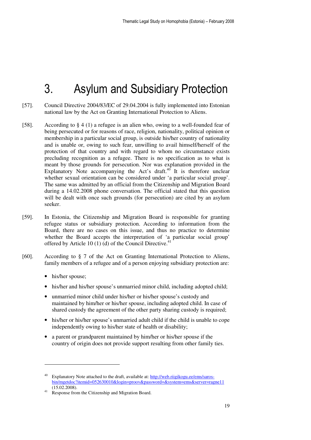## 3. Asylum and Subsidiary Protection

- [57]. Council Directive 2004/83/EC of 29.04.2004 is fully implemented into Estonian national law by the Act on Granting International Protection to Aliens.
- [58]. According to § 4 (1) a refugee is an alien who, owing to a well-founded fear of being persecuted or for reasons of race, religion, nationality, political opinion or membership in a particular social group, is outside his/her country of nationality and is unable or, owing to such fear, unwilling to avail himself/herself of the protection of that country and with regard to whom no circumstance exists precluding recognition as a refugee. There is no specification as to what is meant by those grounds for persecution. Nor was explanation provided in the Explanatory Note accompanying the Act's draft. $40$  It is therefore unclear whether sexual orientation can be considered under 'a particular social group'. The same was admitted by an official from the Citizenship and Migration Board during a 14.02.2008 phone conversation. The official stated that this question will be dealt with once such grounds (for persecution) are cited by an asylum seeker.
- [59]. In Estonia, the Citizenship and Migration Board is responsible for granting refugee status or subsidiary protection. According to information from the Board, there are no cases on this issue, and thus no practice to determine whether the Board accepts the interpretation of 'a particular social group' offered by Article 10 (1) (d) of the Council Directive.<sup>41</sup>
- [60]. According to § 7 of the Act on Granting International Protection to Aliens, family members of a refugee and of a person enjoying subsidiary protection are:
	- his/her spouse;

- his/her and his/her spouse's unmarried minor child, including adopted child;
- unmarried minor child under his/her or his/her spouse's custody and maintained by him/her or his/her spouse, including adopted child. In case of shared custody the agreement of the other party sharing custody is required;
- his/her or his/her spouse's unmarried adult child if the child is unable to cope independently owing to his/her state of health or disability;
- a parent or grandparent maintained by him/her or his/her spouse if the country of origin does not provide support resulting from other family ties.

Explanatory Note attached to the draft, available at: http://web.riigikogu.ee/ems/sarosbin/mgetdoc?itemid=052630010&login=proov&password=&system=ems&server=ragne11  $(15.02.2008).$ 

<sup>&</sup>lt;sup>41</sup> Response from the Citizenship and Migration Board.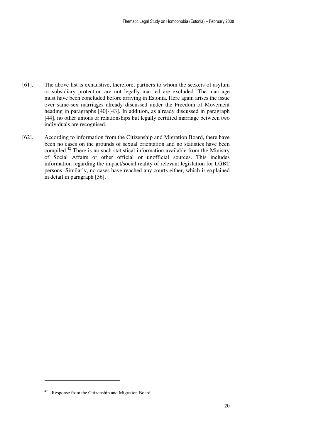- [61]. The above list is exhaustive, therefore, partners to whom the seekers of asylum or subsidiary protection are not legally married are excluded. The marriage must have been concluded before arriving in Estonia. Here again arises the issue over same-sex marriages already discussed under the Freedom of Movement heading in paragraphs [40]-[43]. In addition, as already discussed in paragraph [44], no other unions or relationships but legally certified marriage between two individuals are recognised.
- [62]. According to information from the Citizenship and Migration Board, there have been no cases on the grounds of sexual orientation and no statistics have been compiled.<sup>42</sup> There is no such statistical information available from the Ministry of Social Affairs or other official or unofficial sources. This includes information regarding the impact/social reality of relevant legislation for LGBT persons. Similarly, no cases have reached any courts either, which is explained in detail in paragraph [36].

 $\ddot{\phantom{a}}$ 

<sup>42</sup> Response from the Citizenship and Migration Board.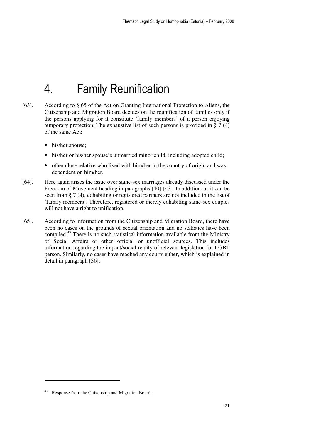## 4. Family Reunification

- [63]. According to § 65 of the Act on Granting International Protection to Aliens, the Citizenship and Migration Board decides on the reunification of families only if the persons applying for it constitute 'family members' of a person enjoying temporary protection. The exhaustive list of such persons is provided in § 7 (4) of the same Act:
	- his/her spouse:
	- his/her or his/her spouse's unmarried minor child, including adopted child;
	- other close relative who lived with him/her in the country of origin and was dependent on him/her.
- [64]. Here again arises the issue over same-sex marriages already discussed under the Freedom of Movement heading in paragraphs [40]-[43]. In addition, as it can be seen from § 7 (4), cohabiting or registered partners are not included in the list of 'family members'. Therefore, registered or merely cohabiting same-sex couples will not have a right to unification.
- [65]. According to information from the Citizenship and Migration Board, there have been no cases on the grounds of sexual orientation and no statistics have been compiled.<sup>43</sup> There is no such statistical information available from the Ministry of Social Affairs or other official or unofficial sources. This includes information regarding the impact/social reality of relevant legislation for LGBT person. Similarly, no cases have reached any courts either, which is explained in detail in paragraph [36].

 $\ddot{\phantom{a}}$ 

Response from the Citizenship and Migration Board.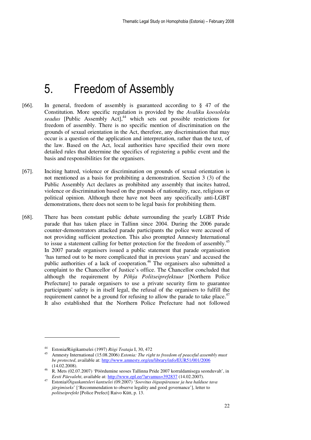## 5. Freedom of Assembly

- [66]. In general, freedom of assembly is guaranteed according to § 47 of the Constitution. More specific regulation is provided by the *Avaliku koosoleku*  seadus [Public Assembly Act],<sup>44</sup> which sets out possible restrictions for freedom of assembly. There is no specific mention of discrimination on the grounds of sexual orientation in the Act, therefore, any discrimination that may occur is a question of the application and interpretation, rather than the text, of the law. Based on the Act, local authorities have specified their own more detailed rules that determine the specifics of registering a public event and the basis and responsibilities for the organisers.
- [67]. Inciting hatred, violence or discrimination on grounds of sexual orientation is not mentioned as a basis for prohibiting a demonstration. Section 3 (3) of the Public Assembly Act declares as prohibited any assembly that incites hatred, violence or discrimination based on the grounds of nationality, race, religious or political opinion. Although there have not been any specifically anti-LGBT demonstrations, there does not seem to be legal basis for prohibiting them.
- [68]. There has been constant public debate surrounding the yearly LGBT Pride parade that has taken place in Tallinn since 2004. During the 2006 parade counter-demonstrators attacked parade participants the police were accused of not providing sufficient protection. This also prompted Amnesty International to issue a statement calling for better protection for the freedom of assembly.<sup>45</sup> In 2007 parade organisers issued a public statement that parade organisation 'has turned out to be more complicated that in previous years' and accused the public authorities of a lack of cooperation.<sup>46</sup> The organisers also submitted a complaint to the Chancellor of Justice's office. The Chancellor concluded that although the requirement by *Põhja Politseiprefektuur* [Northern Police Prefecture] to parade organisers to use a private security firm to guarantee participants' safety is in itself legal, the refusal of the organisers to fulfill the requirement cannot be a ground for refusing to allow the parade to take place.<sup>47</sup> It also established that the Northern Police Prefecture had not followed

<sup>44</sup> Estonia/Riigikantselei (1997) *Riigi Teataja* I, 30, 472

<sup>45</sup> Amnesty International (15.08.2006) *Estonia: The right to freedom of peaceful assembly must be protected*, available at: http://www.amnesty.org/en/library/info/EUR51/001/2006 (14.02.2008).

<sup>46</sup> R. Mets (02.07.2007) 'Pöördumine seoses Tallinna Pride 2007 korraldamisega seonduvalt', in *Eesti Päevaleht*, available at: http://www.epl.ee/?arvamus=392837 (14.02.2007).

<sup>47</sup> Estonia/*Õiguskantsleri kantselei* (09.2007) '*Soovitus õiguspärasuse ja hea halduse tava järgimiseks*' ['Recommendation to observe legality and good governance'], letter to *politseiprefekt* [Police Prefect] Raivo Kütt, p. 13.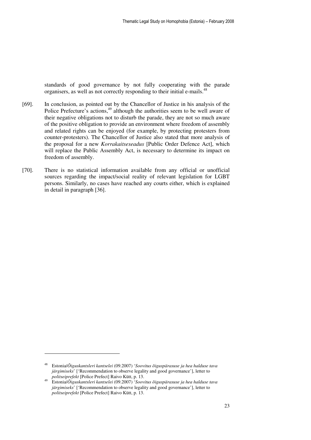standards of good governance by not fully cooperating with the parade organisers, as well as not correctly responding to their initial e-mails.<sup>48</sup>

- [69]. In conclusion, as pointed out by the Chancellor of Justice in his analysis of the Police Prefecture's actions,<sup>49</sup> although the authorities seem to be well aware of their negative obligations not to disturb the parade, they are not so much aware of the positive obligation to provide an environment where freedom of assembly and related rights can be enjoyed (for example, by protecting protesters from counter-protesters). The Chancellor of Justice also stated that more analysis of the proposal for a new *Korrakaitseseadus* [Public Order Defence Act], which will replace the Public Assembly Act, is necessary to determine its impact on freedom of assembly.
- [70]. There is no statistical information available from any official or unofficial sources regarding the impact/social reality of relevant legislation for LGBT persons. Similarly, no cases have reached any courts either, which is explained in detail in paragraph [36].

-

<sup>48</sup> Estonia/*Õiguskantsleri kantselei* (09.2007) '*Soovitus õiguspärasuse ja hea halduse tava järgimiseks*' ['Recommendation to observe legality and good governance'], letter to *politseiprefekt* [Police Prefect] Raivo Kütt, p. 13.

<sup>49</sup> Estonia/*Õiguskantsleri kantselei* (09.2007) '*Soovitus õiguspärasuse ja hea halduse tava järgimiseks*' ['Recommendation to observe legality and good governance'], letter to *politseiprefekt* [Police Prefect] Raivo Kütt, p. 13.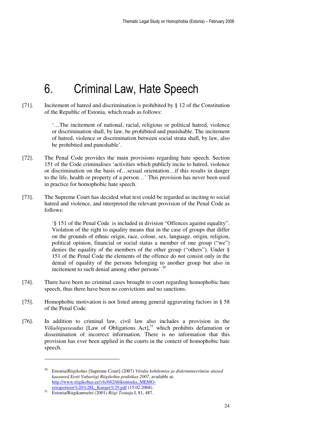## 6. Criminal Law, Hate Speech

[71]. Incitement of hatred and discrimination is prohibited by § 12 of the Constitution of the Republic of Estonia, which reads as follows:

> '…The incitement of national, racial, religious or political hatred, violence or discrimination shall, by law, be prohibited and punishable. The incitement of hatred, violence or discrimination between social strata shall, by law, also be prohibited and punishable'.

- [72]. The Penal Code provides the main provisions regarding hate speech. Section 151 of the Code criminalises 'activities which publicly incite to hatred, violence or discrimination on the basis of…sexual orientation…if this results in danger to the life, health or property of a person…' This provision has never been used in practice for homophobic hate speech.
- [73]. The Supreme Court has decided what text could be regarded as inciting to social hatred and violence, and interpreted the relevant provision of the Penal Code as follows:

'§ 151 of the Penal Code is included in division "Offences against equality". Violation of the right to equality means that in the case of groups that differ on the grounds of ethnic origin, race, colour, sex, language, origin, religion, political opinion, financial or social status a member of one group ("we") denies the equality of the members of the other group ("others"). Under § 151 of the Penal Code the elements of the offence do not consist only in the denial of equality of the persons belonging to another group but also in incitement to such denial among other persons'.<sup>50</sup>

- [74]. There have been no criminal cases brought to court regarding homophobic hate speech, thus there have been no convictions and no sanctions.
- [75]. Homophobic motivation is not listed among general aggravating factors in § 58 of the Penal Code.
- [76]. In addition to criminal law, civil law also includes a provision in the *Võlaõigusseadus* [Law of Obligations Act],<sup>51</sup> which prohibits defamation or dissemination of incorrect information. There is no information that this provision has ever been applied in the courts in the context of homophobic hate speech.

<sup>50</sup> Estonia/*Riigikohus* [Supreme Court] (2007) *Võrdse kohtlemise ja diskrimineerimise alased kaasused Eesti Vabariigi Riigikohtu praktikas 2007,* available at: http://www.riigikohus.ee/vfs/682/t6lkimiseks\_MEMOeriraportoor%20%28L\_Kanger%29.pdf (15.02.2008).

<sup>51</sup> Estonia/Riigikantselei (2001) *Riigi Teataja* I, 81, 487.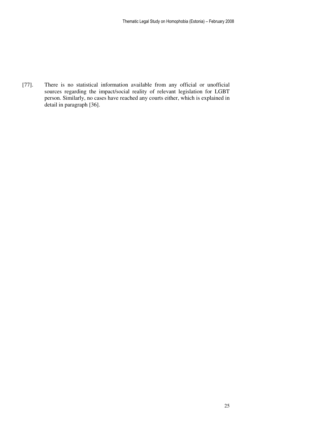[77]. There is no statistical information available from any official or unofficial sources regarding the impact/social reality of relevant legislation for LGBT person. Similarly, no cases have reached any courts either, which is explained in detail in paragraph [36].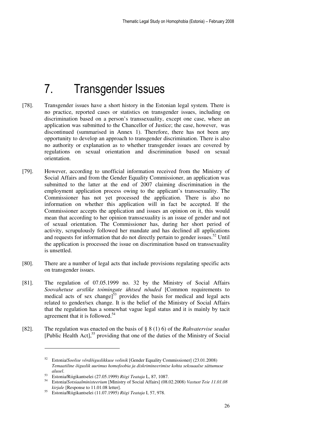## 7. Transgender Issues

- [78]. Transgender issues have a short history in the Estonian legal system. There is no practice, reported cases or statistics on transgender issues, including on discrimination based on a person's transsexuality, except one case, where an application was submitted to the Chancellor of Justice; the case, however, was discontinued (summarised in Annex 1). Therefore, there has not been any opportunity to develop an approach to transgender discrimination. There is also no authority or explanation as to whether transgender issues are covered by regulations on sexual orientation and discrimination based on sexual orientation.
- [79]. However, according to unofficial information received from the Ministry of Social Affairs and from the Gender Equality Commissioner, an application was submitted to the latter at the end of 2007 claiming discrimination in the employment application process owing to the applicant's transsexuality. The Commissioner has not yet processed the application. There is also no information on whether this application will in fact be accepted. If the Commissioner accepts the application and issues an opinion on it, this would mean that according to her opinion transsexuality is an issue of gender and not of sexual orientation. The Commissioner has, during her short period of activity, scrupulously followed her mandate and has declined all applications and requests for information that do not directly pertain to gender issues.<sup>52</sup> Until the application is processed the issue on discrimination based on transsexuality is unsettled.
- [80]. There are a number of legal acts that include provisions regulating specific acts on transgender issues.
- [81]. The regulation of 07.05.1999 no. 32 by the Ministry of Social Affairs *Soovahetuse arstlike toimingute ühtsed nõuded* [Common requirements to medical acts of sex change] $53$  provides the basis for medical and legal acts related to gender/sex change. It is the belief of the Ministry of Social Affairs that the regulation has a somewhat vague legal status and it is mainly by tacit agreement that it is followed.<sup>54</sup>
- [82]. The regulation was enacted on the basis of § 8 (1) 6) of the *Rahvatervise seadus*  $[Public Health Act]<sup>55</sup> providing that one of the duties of the Ministry of Social$

<sup>52</sup> Estonia/*Soolise võrdõiguslikkuse volinik* [Gender Equality Commissioner] (23.01.2008) *Temaatiline õiguslik uurimus homofoobia ja diskrimineerimise kohta seksuaalse sättumuse alusel*.

<sup>53</sup> Estonia/Riigikantselei (27.05.1999) *Riigi Teataja* L, 87, 1087.

<sup>54</sup> Estonia/*Sotsiaalministeerium* [Ministry of Social Affairs] (08.02.2008) *Vastust Teie 11.01.08 kirjale* [Response to 11.01.08 letter].

<sup>55</sup> Estonia/Riigikantselei (11.07.1995) *Riigi Teataja* I, 57, 978.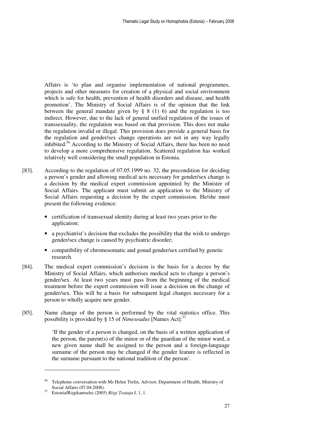Affairs is 'to plan and organise implementation of national programmes, projects and other measures for creation of a physical and social environment which is safe for health, prevention of health disorders and disease, and health promotion'. The Ministry of Social Affairs is of the opinion that the link between the general mandate given by § 8 (1) 6) and the regulation is too indirect. However, due to the lack of general unified regulation of the issues of transsexuality, the regulation was based on that provision. This does not make the regulation invalid or illegal. This provision does provide a general basis for the regulation and gender/sex change operations are not in any way legally inhibited.<sup>56</sup> According to the Ministry of Social Affairs, there has been no need to develop a more comprehensive regulation. Scattered regulation has worked relatively well considering the small population in Estonia.

- [83]. According to the regulation of 07.05.1999 no. 32, the precondition for deciding a person's gender and allowing medical acts necessary for gender/sex change is a decision by the medical expert commission appointed by the Minister of Social Affairs. The applicant must submit an application to the Ministry of Social Affairs requesting a decision by the expert commission. He/she must present the following evidence:
	- certification of transsexual identity during at least two years prior to the application;
	- a psychiatrist's decision that excludes the possibility that the wish to undergo gender/sex change is caused by psychiatric disorder;
	- compatibility of chromosomatic and gonad gender/sex certified by genetic research.
- [84]. The medical expert commission's decision is the basis for a decree by the Ministry of Social Affairs, which authorises medical acts to change a person's gender/sex. At least two years must pass from the beginning of the medical treatment before the expert commission will issue a decision on the change of gender/sex. This will be a basis for subsequent legal changes necessary for a person to wholly acquire new gender.
- [85]. Name change of the person is performed by the vital statistics office. This possibility is provided by § 15 of *Nimeseadus* [Names Act]:<sup>57</sup>

'If the gender of a person is changed, on the basis of a written application of the person, the parent(s) of the minor or of the guardian of the minor ward, a new given name shall be assigned to the person and a foreign-language surname of the person may be changed if the gender feature is reflected in the surname pursuant to the national tradition of the person'.

<sup>56</sup> Telephone conversation with Ms Helen Trelin, Advisor, Department of Health, Ministry of Social Affairs (07.04.2008).

<sup>57</sup> Estonia/Riigikantselei (2005) *Riigi Teataja* I, 1, 1.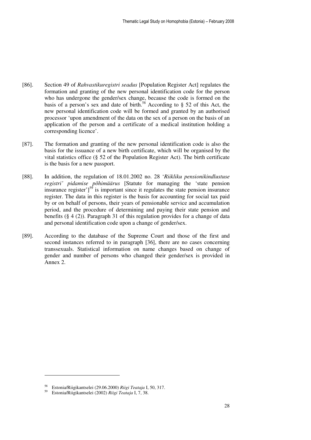- [86]. Section 49 of *Rahvastikuregistri seadus* [Population Register Act] regulates the formation and granting of the new personal identification code for the person who has undergone the gender/sex change, because the code is formed on the basis of a person's sex and date of birth.<sup>58</sup> According to § 52 of this Act, the new personal identification code will be formed and granted by an authorised processor 'upon amendment of the data on the sex of a person on the basis of an application of the person and a certificate of a medical institution holding a corresponding licence'.
- [87]. The formation and granting of the new personal identification code is also the basis for the issuance of a new birth certificate, which will be organised by the vital statistics office (§ 52 of the Population Register Act). The birth certificate is the basis for a new passport.
- [88]. In addition, the regulation of 18.01.2002 no. 28 '*Riikliku pensionikindlustuse registri' pidamise põhimäärus* [Statute for managing the 'state pension insurance register' $]^{59}$  is important since it regulates the state pension insurance register. The data in this register is the basis for accounting for social tax paid by or on behalf of persons, their years of pensionable service and accumulation period, and the procedure of determining and paying their state pension and benefits (§ 4 (2)). Paragraph 31 of this regulation provides for a change of data and personal identification code upon a change of gender/sex.
- [89]. According to the database of the Supreme Court and those of the first and second instances referred to in paragraph [36], there are no cases concerning transsexuals. Statistical information on name changes based on change of gender and number of persons who changed their gender/sex is provided in Annex 2.

<sup>58</sup> Estonia/Riigikantselei (29.06.2000) *Riigi Teataja* I, 50, 317.

<sup>59</sup> Estonia/Riigikantselei (2002) *Riigi Teataja* I, 7, 38.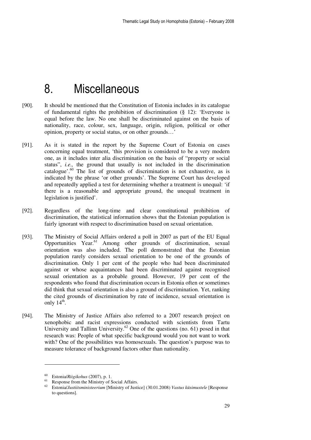## 8. Miscellaneous

- [90]. It should be mentioned that the Constitution of Estonia includes in its catalogue of fundamental rights the prohibition of discrimination (§ 12): 'Everyone is equal before the law. No one shall be discriminated against on the basis of nationality, race, colour, sex, language, origin, religion, political or other opinion, property or social status, or on other grounds…'
- [91]. As it is stated in the report by the Supreme Court of Estonia on cases concerning equal treatment, 'this provision is considered to be a very modern one, as it includes inter alia discrimination on the basis of "property or social status", *i.e.,* the ground that usually is not included in the discrimination catalogue'. $60$  The list of grounds of discrimination is not exhaustive, as is indicated by the phrase 'or other grounds'. The Supreme Court has developed and repeatedly applied a test for determining whether a treatment is unequal: 'if there is a reasonable and appropriate ground, the unequal treatment in legislation is justified'.
- [92]. Regardless of the long-time and clear constitutional prohibition of discrimination, the statistical information shows that the Estonian population is fairly ignorant with respect to discrimination based on sexual orientation.
- [93]. The Ministry of Social Affairs ordered a poll in 2007 as part of the EU Equal Opportunities Year.<sup>61</sup> Among other grounds of discrimination, sexual orientation was also included. The poll demonstrated that the Estonian population rarely considers sexual orientation to be one of the grounds of discrimination. Only 1 per cent of the people who had been discriminated against or whose acquaintances had been discriminated against recognised sexual orientation as a probable ground. However, 19 per cent of the respondents who found that discrimination occurs in Estonia often or sometimes did think that sexual orientation is also a ground of discrimination. Yet, ranking the cited grounds of discrimination by rate of incidence, sexual orientation is only  $14<sup>th</sup>$ .
- [94]. The Ministry of Justice Affairs also referred to a 2007 research project on xenophobic and racist expressions conducted with scientists from Tartu University and Tallinn University.<sup>62</sup> One of the questions (no. 61) posed in that research was: People of what specific background would you not want to work with? One of the possibilities was homosexuals. The question's purpose was to measure tolerance of background factors other than nationality.

<sup>60</sup> Estonia/*Riigikohus* (2007), p. 1.

<sup>&</sup>lt;sup>61</sup> Response from the Ministry of Social Affairs.<br><sup>62</sup> Estapio/*Lustitaninistospium* Ministry of Justi

<sup>62</sup> Estonia/*Justiitsministeerium* [Ministry of Justice] (30.01.2008) *Vastus küsimustele* [Response to questions].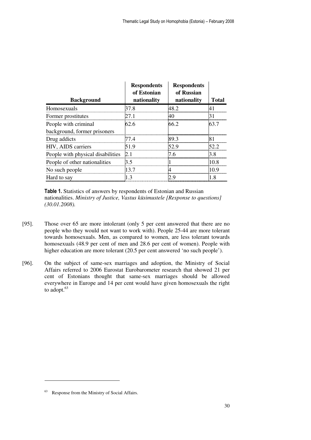| <b>Background</b>                 | <b>Respondents</b><br>of Estonian<br>nationality | <b>Respondents</b><br>of Russian<br>nationality | Total |
|-----------------------------------|--------------------------------------------------|-------------------------------------------------|-------|
| Homosexuals                       | 37 S                                             |                                                 |       |
| Former prostitutes                |                                                  |                                                 |       |
| People with criminal              | 62.6                                             | 66.2                                            | 63.7  |
| background, former prisoners      |                                                  |                                                 |       |
| Drug addicts                      | 77.4                                             | 89 3                                            |       |
| HIV, AIDS carriers                |                                                  |                                                 |       |
| People with physical disabilities |                                                  |                                                 |       |
| People of other nationalities     | 3.5                                              |                                                 |       |
| No such people                    | 13.7                                             |                                                 |       |
| Hard to say                       |                                                  |                                                 |       |

Table 1. Statistics of answers by respondents of Estonian and Russian nationalities. *Ministry of Justice, Vastus küsimustele [Response to questions] (30.01.2008).*

- [95]. Those over 65 are more intolerant (only 5 per cent answered that there are no people who they would not want to work with). People 25-44 are more tolerant towards homosexuals. Men, as compared to women, are less tolerant towards homosexuals (48.9 per cent of men and 28.6 per cent of women). People with higher education are more tolerant (20.5 per cent answered 'no such people').
- [96]. On the subject of same-sex marriages and adoption, the Ministry of Social Affairs referred to 2006 Eurostat Eurobarometer research that showed 21 per cent of Estonians thought that same-sex marriages should be allowed everywhere in Europe and 14 per cent would have given homosexuals the right to adopt.<sup>63</sup>

<sup>63</sup> Response from the Ministry of Social Affairs.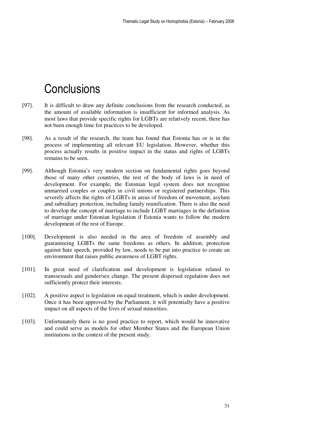## **Conclusions**

- [97]. It is difficult to draw any definite conclusions from the research conducted, as the amount of available information is insufficient for informed analysis. As most laws that provide specific rights for LGBTs are relatively recent, there has not been enough time for practices to be developed.
- [98]. As a result of the research, the team has found that Estonia has or is in the process of implementing all relevant EU legislation. However, whether this process actually results in positive impact in the status and rights of LGBTs remains to be seen.
- [99]. Although Estonia's very modern section on fundamental rights goes beyond those of many other countries, the rest of the body of laws is in need of development. For example, the Estonian legal system does not recognise unmarried couples or couples in civil unions or registered partnerships. This severely affects the rights of LGBTs in areas of freedom of movement, asylum and subsidiary protection, including family reunification. There is also the need to develop the concept of marriage to include LGBT marriages in the definition of marriage under Estonian legislation if Estonia wants to follow the modern development of the rest of Europe.
- [100]. Development is also needed in the area of freedom of assembly and guaranteeing LGBTs the same freedoms as others. In addition, protection against hate speech, provided by law, needs to be put into practice to create an environment that raises public awareness of LGBT rights.
- [101]. In great need of clarification and development is legislation related to transsexuals and gender/sex change. The present dispersed regulation does not sufficiently protect their interests.
- [102]. A positive aspect is legislation on equal treatment, which is under development. Once it has been approved by the Parliament, it will potentially have a positive impact on all aspects of the lives of sexual minorities.
- [103]. Unfortunately there is no good practice to report, which would be innovative and could serve as models for other Member States and the European Union institutions in the context of the present study.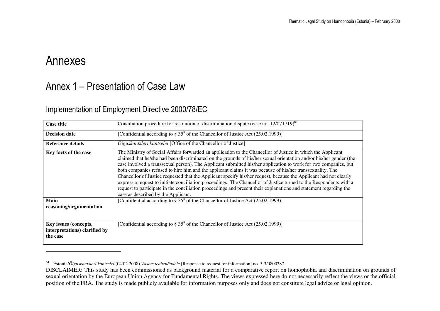### Annexes

### Annex 1 – Presentation of Case Law

#### Implementation of Employment Directive 2000/78/EC

| <b>Case title</b>                                                  | Conciliation procedure for resolution of discrimination dispute (case no. $12/071719$ ) <sup>64</sup>                                                                                                                                                                                                                                                                                                                                                                                                                                                                                                                                                                                                                                                                                                                                                                    |
|--------------------------------------------------------------------|--------------------------------------------------------------------------------------------------------------------------------------------------------------------------------------------------------------------------------------------------------------------------------------------------------------------------------------------------------------------------------------------------------------------------------------------------------------------------------------------------------------------------------------------------------------------------------------------------------------------------------------------------------------------------------------------------------------------------------------------------------------------------------------------------------------------------------------------------------------------------|
| <b>Decision date</b>                                               | [Confidential according to $\S 35^8$ of the Chancellor of Justice Act (25.02.1999)]                                                                                                                                                                                                                                                                                                                                                                                                                                                                                                                                                                                                                                                                                                                                                                                      |
| <b>Reference details</b>                                           | Öiguskantsleri kantselei [Office of the Chancellor of Justice]                                                                                                                                                                                                                                                                                                                                                                                                                                                                                                                                                                                                                                                                                                                                                                                                           |
| Key facts of the case                                              | The Ministry of Social Affairs forwarded an application to the Chancellor of Justice in which the Applicant<br>claimed that he/she had been discriminated on the grounds of his/her sexual orientation and/or his/her gender (the<br>case involved a transsexual person). The Applicant submitted his/her application to work for two companies, but<br>both companies refused to hire him and the applicant claims it was because of his/her transsexuality. The<br>Chancellor of Justice requested that the Applicant specify his/her request, because the Applicant had not clearly<br>express a request to initiate conciliation proceedings. The Chancellor of Justice turned to the Respondents with a<br>request to participate in the conciliation proceedings and present their explanations and statement regarding the<br>case as described by the Applicant. |
| <b>Main</b><br>reasoning/argumentation                             | [Confidential according to $\S 35^8$ of the Chancellor of Justice Act (25.02.1999)]                                                                                                                                                                                                                                                                                                                                                                                                                                                                                                                                                                                                                                                                                                                                                                                      |
| Key issues (concepts,<br>interpretations) clarified by<br>the case | [Confidential according to $\S 35^8$ of the Chancellor of Justice Act (25.02.1999)]                                                                                                                                                                                                                                                                                                                                                                                                                                                                                                                                                                                                                                                                                                                                                                                      |

<sup>64</sup> Estonia/*Õiguskantsleri kantselei* (04.02.2008) *Vastus teabenõudele* [Response to request for information] no. 5-3/0800287.

DISCLAIMER: This study has been commissioned as background material for a comparative report on homophobia and discrimination on grounds of sexual orientation by the European Union Agency for Fundamental Rights. The views expressed here do not necessarily reflect the views or the official position of the FRA. The study is made publicly available for information purposes only and does not constitute legal advice or legal opinion.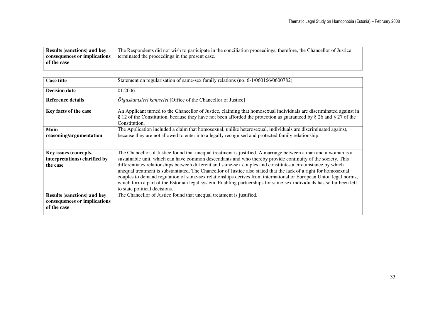| <b>Results (sanctions) and key</b> | The Respondents did not wish to participate in the conciliation proceedings, therefore, the Chancellor of Justice |
|------------------------------------|-------------------------------------------------------------------------------------------------------------------|
| consequences or implications       | terminated the proceedings in the present case.                                                                   |
| of the case                        |                                                                                                                   |
|                                    |                                                                                                                   |

| <b>Case title</b>                                                                 | Statement on regularisation of same-sex family relations (no. 6-1/060166/0600782)                                                                                                                                                                                                                                                                                                                                                                                                                                                                                                                                                                                                                                                             |
|-----------------------------------------------------------------------------------|-----------------------------------------------------------------------------------------------------------------------------------------------------------------------------------------------------------------------------------------------------------------------------------------------------------------------------------------------------------------------------------------------------------------------------------------------------------------------------------------------------------------------------------------------------------------------------------------------------------------------------------------------------------------------------------------------------------------------------------------------|
| <b>Decision date</b>                                                              | 01.2006                                                                                                                                                                                                                                                                                                                                                                                                                                                                                                                                                                                                                                                                                                                                       |
| <b>Reference details</b>                                                          | $\tilde{O}$ iguskantsleri kantselei [Office of the Chancellor of Justice]                                                                                                                                                                                                                                                                                                                                                                                                                                                                                                                                                                                                                                                                     |
| Key facts of the case                                                             | An Applicant turned to the Chancellor of Justice, claiming that homosexual individuals are discriminated against in<br>§ 12 of the Constitution, because they have not been afforded the protection as guaranteed by § 26 and § 27 of the<br>Constitution.                                                                                                                                                                                                                                                                                                                                                                                                                                                                                    |
| Main<br>reasoning/argumentation                                                   | The Application included a claim that homosexual, unlike heterosexual, individuals are discriminated against,<br>because they are not allowed to enter into a legally recognised and protected family relationship.                                                                                                                                                                                                                                                                                                                                                                                                                                                                                                                           |
| Key issues (concepts,<br>interpretations) clarified by<br>the case                | The Chancellor of Justice found that unequal treatment is justified. A marriage between a man and a woman is a<br>sustainable unit, which can have common descendants and who thereby provide continuity of the society. This<br>differentiates relationships between different and same-sex couples and constitutes a circumstance by which<br>unequal treatment is substantiated. The Chancellor of Justice also stated that the lack of a right for homosexual<br>couples to demand regulation of same-sex relationships derives from international or European Union legal norms,<br>which form a part of the Estonian legal system. Enabling partnerships for same-sex individuals has so far been left<br>to state political decisions. |
| <b>Results (sanctions) and key</b><br>consequences or implications<br>of the case | The Chancellor of Justice found that unequal treatment is justified.                                                                                                                                                                                                                                                                                                                                                                                                                                                                                                                                                                                                                                                                          |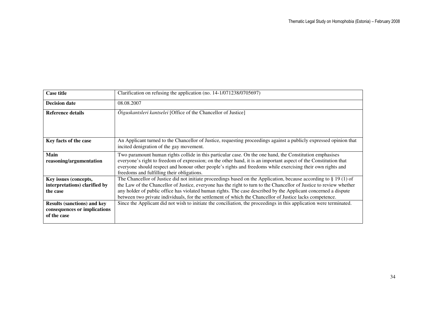| <b>Case title</b>                                                                 | Clarification on refusing the application (no. 14-1/071238/0705697)                                                                                                                                                                                                                                                                                                                                                                                                      |
|-----------------------------------------------------------------------------------|--------------------------------------------------------------------------------------------------------------------------------------------------------------------------------------------------------------------------------------------------------------------------------------------------------------------------------------------------------------------------------------------------------------------------------------------------------------------------|
| <b>Decision date</b>                                                              | 08.08.2007                                                                                                                                                                                                                                                                                                                                                                                                                                                               |
| Reference details                                                                 | $\tilde{O}$ iguskantsleri kantselei [Office of the Chancellor of Justice]                                                                                                                                                                                                                                                                                                                                                                                                |
| Key facts of the case                                                             | An Applicant turned to the Chancellor of Justice, requesting proceedings against a publicly expressed opinion that<br>incited denigration of the gay movement.                                                                                                                                                                                                                                                                                                           |
| Main<br>reasoning/argumentation                                                   | Two paramount human rights collide in this particular case. On the one hand, the Constitution emphasises<br>everyone's right to freedom of expression; on the other hand, it is an important aspect of the Constitution that<br>everyone should respect and honour other people's rights and freedoms while exercising their own rights and<br>freedoms and fulfilling their obligations.                                                                                |
| Key issues (concepts,<br>interpretations) clarified by<br>the case                | The Chancellor of Justice did not initiate proceedings based on the Application, because according to $\S 19(1)$ of<br>the Law of the Chancellor of Justice, everyone has the right to turn to the Chancellor of Justice to review whether<br>any holder of public office has violated human rights. The case described by the Applicant concerned a dispute<br>between two private individuals, for the settlement of which the Chancellor of Justice lacks competence. |
| <b>Results (sanctions) and key</b><br>consequences or implications<br>of the case | Since the Applicant did not wish to initiate the conciliation, the proceedings in this application were terminated.                                                                                                                                                                                                                                                                                                                                                      |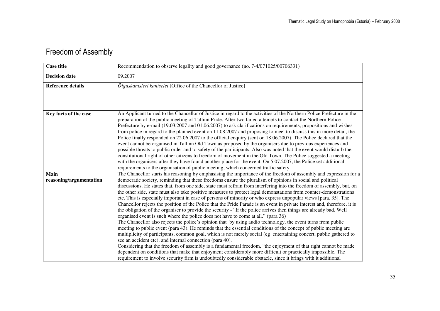#### Freedom of Assembly

| <b>Case title</b>               | Recommendation to observe legality and good governance (no. 7-4/071025/00706331)                                                                                                                                                                                                                                                                                                                                                                                                                                                                                                                                                                                                                                                                                                                                                                                                                                                                                                                                                                                                                                                                                                                                                                                                                                                                                                                                                                                                                                                                                                                                                                                                                                 |
|---------------------------------|------------------------------------------------------------------------------------------------------------------------------------------------------------------------------------------------------------------------------------------------------------------------------------------------------------------------------------------------------------------------------------------------------------------------------------------------------------------------------------------------------------------------------------------------------------------------------------------------------------------------------------------------------------------------------------------------------------------------------------------------------------------------------------------------------------------------------------------------------------------------------------------------------------------------------------------------------------------------------------------------------------------------------------------------------------------------------------------------------------------------------------------------------------------------------------------------------------------------------------------------------------------------------------------------------------------------------------------------------------------------------------------------------------------------------------------------------------------------------------------------------------------------------------------------------------------------------------------------------------------------------------------------------------------------------------------------------------------|
| <b>Decision date</b>            | 09.2007                                                                                                                                                                                                                                                                                                                                                                                                                                                                                                                                                                                                                                                                                                                                                                                                                                                                                                                                                                                                                                                                                                                                                                                                                                                                                                                                                                                                                                                                                                                                                                                                                                                                                                          |
| <b>Reference details</b>        | $\tilde{O}$ iguskantsleri kantselei [Office of the Chancellor of Justice]                                                                                                                                                                                                                                                                                                                                                                                                                                                                                                                                                                                                                                                                                                                                                                                                                                                                                                                                                                                                                                                                                                                                                                                                                                                                                                                                                                                                                                                                                                                                                                                                                                        |
| Key facts of the case           | An Applicant turned to the Chancellor of Justice in regard to the activities of the Northern Police Prefecture in the<br>preparation of the public meeting of Tallinn Pride. After two failed attempts to contact the Northern Police<br>Prefecture by e-mail (19.03.2007 and 01.06.2007) to ask clarifications on requirements, propositions and wishes<br>from police in regard to the planned event on 11.08.2007 and proposing to meet to discuss this in more detail, the<br>Police finally responded on 22.06.2007 to the official enquiry (sent on 18.06.2007). The Police declared that the<br>event cannot be organised in Tallinn Old Town as proposed by the organisers due to previous experiences and<br>possible threats to public order and to safety of the participants. Also was noted that the event would disturb the<br>constitutional right of other citizens to freedom of movement in the Old Town. The Police suggested a meeting<br>with the organisers after they have found another place for the event. On 5.07.2007, the Police set additional<br>requirements to the organisation of public meeting, which concerned traffic safety.                                                                                                                                                                                                                                                                                                                                                                                                                                                                                                                                              |
| Main<br>reasoning/argumentation | The Chancellor starts his reasoning by emphasising the importance of the freedom of assembly and expression for a<br>democratic society, reminding that these freedoms ensure the pluralism of opinions in social and political<br>discussions. He states that, from one side, state must refrain from interfering into the freedom of assembly, but, on<br>the other side, state must also take positive measures to protect legal demonstations from counter-demonstrations<br>etc. This is especially important in case of persons of minority or who express unpopular views [para. 35]. The<br>Chancellor rejects the position of the Police that the Pride Parade is an event in private interest and, therefore, it is<br>the obligation of the organiser to provide the security - "If the police arrives then things are already bad. Well<br>organised event is such where the police does not have to come at all." (para 36)<br>The Chancellor also rejects the police's opinion that by using audio technology, the event turns from public<br>meeting to public event (para 43). He reminds that the essential conditions of the concept of public meeting are<br>multiplicity of participants, common goal, which is not merely social (eg entertaining concert, public gathered to<br>see an accident etc), and internal connection (para 40).<br>Considering that the freedom of assembly is a fundamental freedom, "the enjoyment of that right cannot be made<br>dependent on conditions that make that enjoyment considerably more difficult or practically impossible. The<br>requirement to involve security firm is undoubtedly considerable obstacle, since it brings with it additional |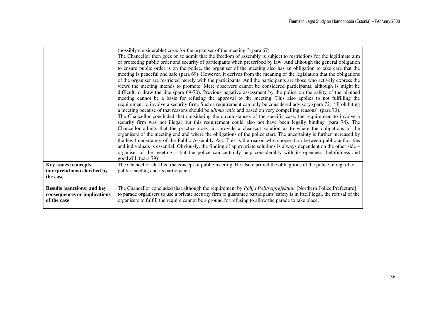|                                    | (possibly considerable) costs for the organiser of the meeting." (para 67)                                                   |
|------------------------------------|------------------------------------------------------------------------------------------------------------------------------|
|                                    | The Chancellor then goes on to admit that the freedom of assembly is subject to restrictions for the legitimate aim          |
|                                    | of protecting public order and security of participants when prescribed by law. And although the general obligation          |
|                                    | to ensure public order is on the police, the organiser of the meeting also has an obligation to take care that the           |
|                                    | meeting is peaceful and safe (para 69). However, it derives from the meaning of the legislation that the obligations         |
|                                    |                                                                                                                              |
|                                    | of the organiser are restricted merely with the participants. And the participants are those who actively express the        |
|                                    | views the meeting intends to promote. Mere observers cannot be considered participants, although is might be                 |
|                                    | difficult to draw the line (para 69-70). Previous negative assessment by the police on the safety of the planned             |
|                                    | meeting cannot be a basis for refusing the approval to the meeting. This also applies to not fulfilling the                  |
|                                    | requirement to involve a security firm. Such a requirement can only be considered advisory (para 72). "Prohibiting           |
|                                    | a meeting because of that reasons should be <i>ultima ratio</i> and based on very compelling reasons" (para 73).             |
|                                    | The Chancellor concluded that considering the circumstances of the specific case, the requirement to involve a               |
|                                    |                                                                                                                              |
|                                    | security firm was not illegal but this requirement could also not have been legally binding (para 74). The                   |
|                                    | Chancellor admits that the practice does not provide a clear-cut solution as to where the obligations of the                 |
|                                    | organisers of the meeting end and where the obligations of the police start. The uncertainty is further increased by         |
|                                    | the legal uncertainty of the Public Assembly Act. This is the reason why cooperation between public authorities              |
|                                    | and individuals is essential. Obviously, the finding of appropriate solutions is always dependent on the other side $-$      |
|                                    | organiser of the meeting – but the police can certainly help considerably with its openness, helpfulness and                 |
|                                    |                                                                                                                              |
|                                    | goodwill. (para 79)                                                                                                          |
| Key issues (concepts,              | The Chancellor clarified the concept of public meeting. He also clarified the obliagtions of the police in regard to         |
| interpretations) clarified by      | public meeting and its participants.                                                                                         |
| the case                           |                                                                                                                              |
|                                    |                                                                                                                              |
| <b>Results (sanctions) and key</b> | The Chancellor concluded that although the requirement by Põhja Politseiprefektuur [Northern Police Prefecture]              |
| consequences or implications       | to parade organisers to use a private security firm to guarantee participants' safety is in itself legal, the refusal of the |
| of the case                        | organisers to fulfill the require cannot be a ground for refusing to allow the parade to take place.                         |
|                                    |                                                                                                                              |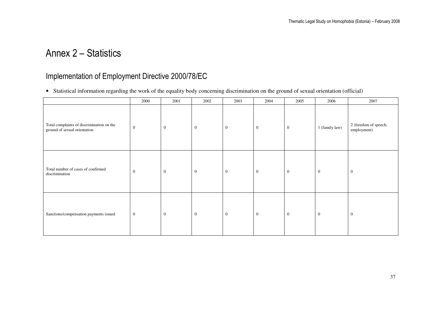### Annex 2 – Statistics

#### Implementation of Employment Directive 2000/78/EC

• Statistical information regarding the work of the equality body concerning discrimination on the ground of sexual orientation (official)

|                                                                           | 2000             | 2001           | 2002           | 2003         | 2004           | 2005           | 2006             | 2007                                 |
|---------------------------------------------------------------------------|------------------|----------------|----------------|--------------|----------------|----------------|------------------|--------------------------------------|
| Total complaints of discrimination on the<br>ground of sexual orientation | $\mathbf{0}$     | $\mathbf{0}$   | $\overline{0}$ | $\mathbf{0}$ | $\overline{0}$ | $\overline{0}$ | 1 (family law)   | 2 (freedom of speech;<br>employment) |
| Total number of cases of confirmed<br>discrimination                      | $\mathbf{0}$     | $\mathbf{0}$   | $\mathbf{0}$   | $\mathbf{0}$ | $\mathbf{0}$   | $\overline{0}$ | $\mathbf{0}$     | $\overline{0}$                       |
| Sanctions/compensation payments issued                                    | $\boldsymbol{0}$ | $\overline{0}$ | $\overline{0}$ | $\mathbf{0}$ | $\mathbf{0}$   | $\overline{0}$ | $\boldsymbol{0}$ | $\overline{0}$                       |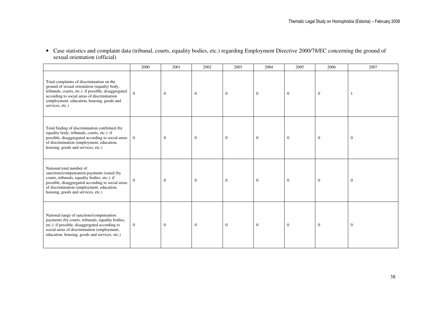| • Case statistics and complaint data (tribunal, courts, equality bodies, etc.) regarding Employment Directive 2000/78/EC concerning the ground of |
|---------------------------------------------------------------------------------------------------------------------------------------------------|
| sexual orientation (official)                                                                                                                     |

|                                                                                                                                                                                                                                                                   | 2000           | 2001           | 2002           | 2003           | 2004             | 2005           | 2006             | 2007             |
|-------------------------------------------------------------------------------------------------------------------------------------------------------------------------------------------------------------------------------------------------------------------|----------------|----------------|----------------|----------------|------------------|----------------|------------------|------------------|
| Total complaints of discrimination on the<br>ground of sexual orientation (equality body,<br>tribunals, courts, etc.): if possible, disaggregated<br>according to social areas of discrimination<br>(employment, education, housing, goods and<br>services, etc.) | $\theta$       | $\overline{0}$ | $\overline{0}$ | $\theta$       | $\mathbf{0}$     | $\overline{0}$ | $\mathbf{0}$     |                  |
| Total finding of discrimination confirmed (by<br>equality body, tribunals, courts, etc.): if<br>possible, disaggregated according to social areas<br>of discrimination (employment, education,<br>housing, goods and services, etc.)                              | $\mathbf{0}$   | $\mathbf{0}$   | $\mathbf{0}$   | $\mathbf{0}$   | $\boldsymbol{0}$ | $\mathbf{0}$   | $\boldsymbol{0}$ | $\boldsymbol{0}$ |
| National total number of<br>sanctions/compensation payments issued (by<br>courts, tribunals, equality bodies, etc.): if<br>possible, disaggregated according to social areas<br>of discrimination (employment, education,<br>housing, goods and services, etc.)   | $\Omega$       | $\overline{0}$ | $\overline{0}$ | $\overline{0}$ | $\mathbf{0}$     | $\theta$       | $\mathbf{0}$     | $\overline{0}$   |
| National range of sanctions/compensation<br>payments (by courts, tribunals, equality bodies,<br>etc.): if possible, disaggregated according to<br>social areas of discrimination (employment,<br>education, housing, goods and services, etc.)                    | $\overline{0}$ | $\overline{0}$ | $\mathbf{0}$   | $\overline{0}$ | $\mathbf{0}$     | $\theta$       | $\boldsymbol{0}$ | $\boldsymbol{0}$ |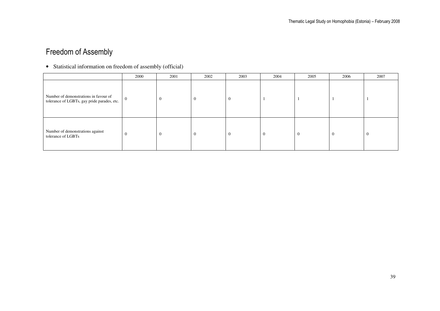#### Freedom of Assembly

• Statistical information on freedom of assembly (official)

|                                                                                      | 2000           | 2001           | 2002           | 2003           | 2004           | 2005           | 2006           | 2007           |
|--------------------------------------------------------------------------------------|----------------|----------------|----------------|----------------|----------------|----------------|----------------|----------------|
| Number of demonstrations in favour of<br>tolerance of LGBTs, gay pride parades, etc. | $\overline{0}$ | $\overline{0}$ | $\overline{0}$ | $\overline{0}$ |                |                |                |                |
| Number of demonstrations against<br>tolerance of LGBTs                               | $\mathbf{0}$   | $\overline{0}$ | $\overline{0}$ | $\overline{0}$ | $\overline{0}$ | $\overline{0}$ | $\overline{0}$ | $\overline{0}$ |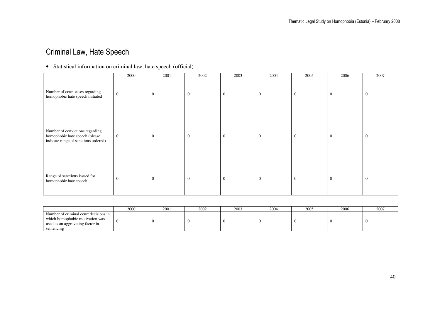#### Criminal Law, Hate Speech

#### • Statistical information on criminal law, hate speech (official)

|                                                                                                           | 2000           | 2001         | 2002           | 2003         | 2004           | 2005         | 2006         | 2007         |
|-----------------------------------------------------------------------------------------------------------|----------------|--------------|----------------|--------------|----------------|--------------|--------------|--------------|
| Number of court cases regarding<br>homophobic hate speech initiated                                       | $\overline{0}$ | $\mathbf{0}$ | $\mathbf{0}$   | $\mathbf{0}$ | $\overline{0}$ | $\mathbf{0}$ | $\mathbf{0}$ | $\mathbf 0$  |
| Number of convictions regarding<br>homophobic hate speech (please<br>indicate range of sanctions ordered) | $\overline{0}$ | $\mathbf{0}$ | $\overline{0}$ | $\mathbf{0}$ | $\mathbf{0}$   | $\mathbf{0}$ | $\mathbf{0}$ | $\mathbf{0}$ |
| Range of sanctions issued for<br>homophobic hate speech                                                   | $\mathbf{0}$   | $\mathbf{0}$ | $\overline{0}$ | $\mathbf{0}$ | $\overline{0}$ | $\mathbf{0}$ | $\mathbf{0}$ | $\theta$     |

|                                                                                                              | 2000 | 2001 | 2002 | 2003 | $200-$ | 2005 | 2006 | 2007 |
|--------------------------------------------------------------------------------------------------------------|------|------|------|------|--------|------|------|------|
| Number of criminal court decisions in<br>which homophobic motivation was<br>used as an aggravating factor in |      |      |      |      |        |      |      |      |
| sentencing                                                                                                   |      |      |      |      |        |      |      |      |